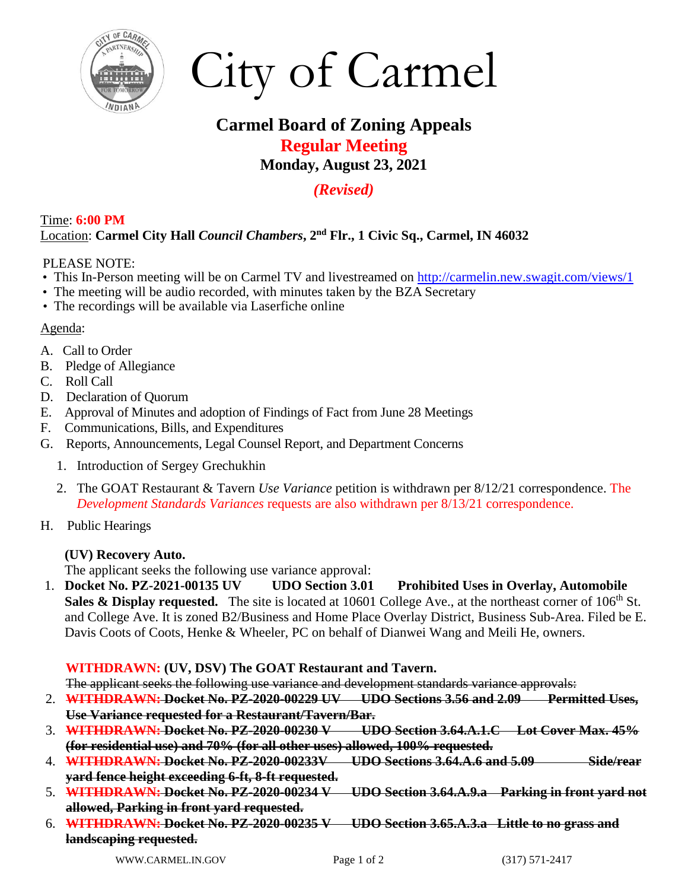



# **Carmel Board of Zoning Appeals Regular Meeting Monday, August 23, 2021**

*(Revised)*

Time: **6:00 PM** Location: **Carmel City Hall** *Council Chambers***, 2nd Flr., 1 Civic Sq., Carmel, IN 46032**

### PLEASE NOTE:

- This In-Person meeting will be on Carmel TV and livestreamed on <http://carmelin.new.swagit.com/views/1>
- The meeting will be audio recorded, with minutes taken by the BZA Secretary
- The recordings will be available via Laserfiche online

### Agenda:

- A. Call to Order
- B. Pledge of Allegiance
- C. Roll Call
- D. Declaration of Quorum
- E. Approval of Minutes and adoption of Findings of Fact from June 28 Meetings
- F. Communications, Bills, and Expenditures
- G. Reports, Announcements, Legal Counsel Report, and Department Concerns
	- 1. Introduction of Sergey Grechukhin
	- 2. The GOAT Restaurant & Tavern *Use Variance* petition is withdrawn per 8/12/21 correspondence. The *Development Standards Variances* requests are also withdrawn per 8/13/21 correspondence.
- H. Public Hearings

#### **(UV) Recovery Auto.**

The applicant seeks the following use variance approval:

1. **Docket No. PZ-2021-00135 UV UDO Section 3.01 Prohibited Uses in Overlay, Automobile Sales & Display requested.** The site is located at 10601 College Ave., at the northeast corner of  $106<sup>th</sup>$  St. and College Ave. It is zoned B2/Business and Home Place Overlay District, Business Sub-Area. Filed be E. Davis Coots of Coots, Henke & Wheeler, PC on behalf of Dianwei Wang and Meili He, owners.

## **WITHDRAWN: (UV, DSV) The GOAT Restaurant and Tavern.**

The applicant seeks the following use variance and development standards variance approvals:

- 2. **WITHDRAWN: Docket No. PZ-2020-00229 UV UDO Sections 3.56 and 2.09 Permitted Uses, Use Variance requested for a Restaurant/Tavern/Bar.**
- 3. **WITHDRAWN: Docket No. PZ-2020-00230 V UDO Section 3.64.A.1.C Lot Cover Max. 45% (for residential use) and 70% (for all other uses) allowed, 100% requested.**
- 4. **WITHDRAWN: Docket No. PZ-2020-00233V UDO Sections 3.64.A.6 and 5.09 Side/rear yard fence height exceeding 6-ft, 8-ft requested.**
- 5. **WITHDRAWN: Docket No. PZ-2020-00234 V UDO Section 3.64.A.9.a Parking in front yard not allowed, Parking in front yard requested.**
- 6. **WITHDRAWN: Docket No. PZ-2020-00235 V UDO Section 3.65.A.3.a Little to no grass and landscaping requested.**